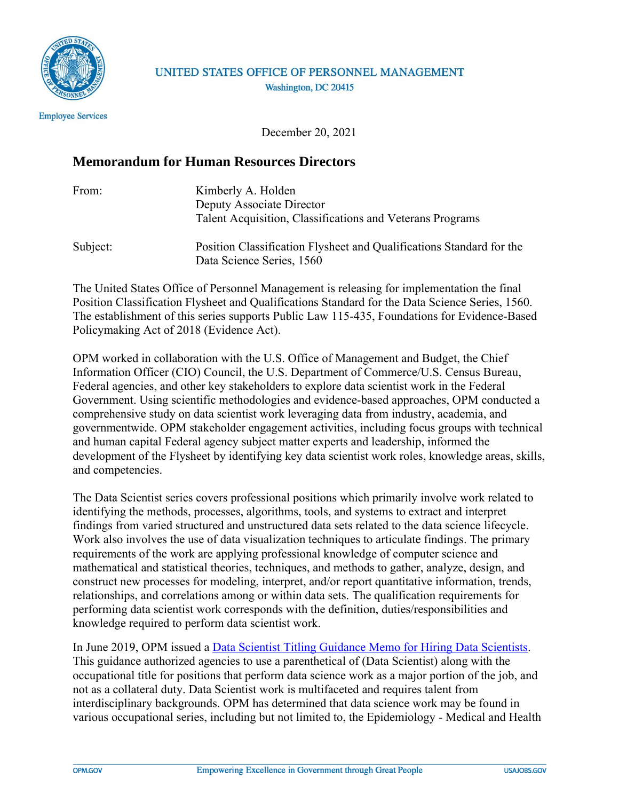

## UNITED STATES OFFICE OF PERSONNEL MANAGEMENT Washington, DC 20415

**Employee Services** 

December 20, 2021

## **Memorandum for Human Resources Directors**

| From:    | Kimberly A. Holden                                                                                |
|----------|---------------------------------------------------------------------------------------------------|
|          | Deputy Associate Director                                                                         |
|          | Talent Acquisition, Classifications and Veterans Programs                                         |
| Subject: | Position Classification Flysheet and Qualifications Standard for the<br>Data Science Series, 1560 |

The United States Office of Personnel Management is releasing for implementation the final Position Classification Flysheet and Qualifications Standard for the Data Science Series, 1560. The establishment of this series supports Public Law 115-435, Foundations for Evidence-Based Policymaking Act of 2018 (Evidence Act).

OPM worked in collaboration with the U.S. Office of Management and Budget, the Chief Information Officer (CIO) Council, the U.S. Department of Commerce/U.S. Census Bureau, Federal agencies, and other key stakeholders to explore data scientist work in the Federal Government. Using scientific methodologies and evidence-based approaches, OPM conducted a comprehensive study on data scientist work leveraging data from industry, academia, and governmentwide. OPM stakeholder engagement activities, including focus groups with technical and human capital Federal agency subject matter experts and leadership, informed the development of the Flysheet by identifying key data scientist work roles, knowledge areas, skills, and competencies.

The Data Scientist series covers professional positions which primarily involve work related to identifying the methods, processes, algorithms, tools, and systems to extract and interpret findings from varied structured and unstructured data sets related to the data science lifecycle. Work also involves the use of data visualization techniques to articulate findings. The primary requirements of the work are applying professional knowledge of computer science and mathematical and statistical theories, techniques, and methods to gather, analyze, design, and construct new processes for modeling, interpret, and/or report quantitative information, trends, relationships, and correlations among or within data sets. The qualification requirements for performing data scientist work corresponds with the definition, duties/responsibilities and knowledge required to perform data scientist work.

In June 2019, OPM issued a [Data Scientist Titling Guidance Memo for Hiring Data Scientists.](https://www.chcoc.gov/content/data-scientist-titling-guidance#:~:text=Data%20Scientists%20are%20defined%20as%20practitioners%20with%20sufficient,in%20classifying%20data%20science%20positions%20within%20your%20agencies.) This guidance authorized agencies to use a parenthetical of (Data Scientist) along with the occupational title for positions that perform data science work as a major portion of the job, and not as a collateral duty. Data Scientist work is multifaceted and requires talent from interdisciplinary backgrounds. OPM has determined that data science work may be found in various occupational series, including but not limited to, the Epidemiology - Medical and Health